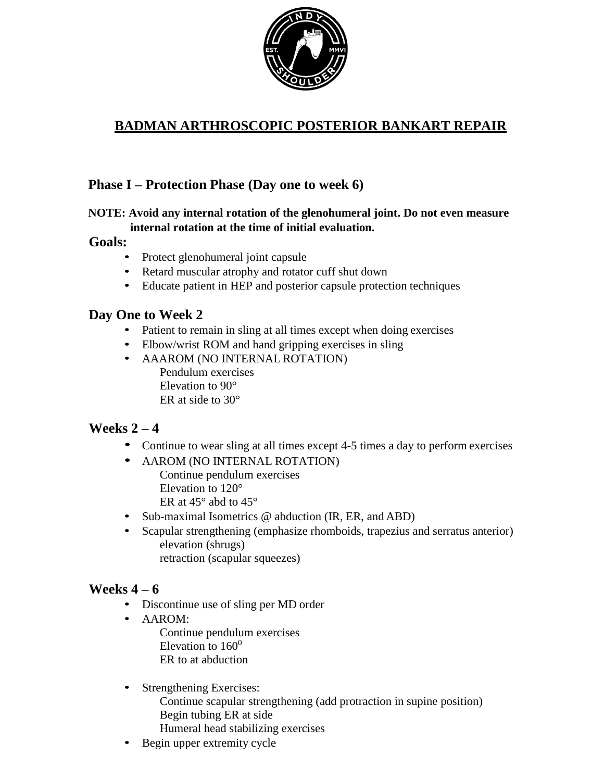

# **BADMAN ARTHROSCOPIC POSTERIOR BANKART REPAIR**

### **Phase I – Protection Phase (Day one to week 6)**

#### **NOTE: Avoid any internal rotation of the glenohumeral joint. Do not even measure internal rotation at the time of initial evaluation.**

#### **Goals:**

- Protect glenohumeral joint capsule
- Retard muscular atrophy and rotator cuff shut down
- Educate patient in HEP and posterior capsule protection techniques

### **Day One to Week 2**

- Patient to remain in sling at all times except when doing exercises
- Elbow/wrist ROM and hand gripping exercises in sling
- AAAROM (NO INTERNAL ROTATION) Pendulum exercises Elevation to 90° ER at side to 30°

### **Weeks 2 – 4**

- Continue to wear sling at all times except 4-5 times a day to perform exercises
- AAROM (NO INTERNAL ROTATION) Continue pendulum exercises Elevation to 120° ER at 45° abd to 45°
- Sub-maximal Isometrics @ abduction (IR, ER, and ABD)
- Scapular strengthening (emphasize rhomboids, trapezius and serratus anterior) elevation (shrugs) retraction (scapular squeezes)

### **Weeks 4 – 6**

- Discontinue use of sling per MD order
- AAROM:

Continue pendulum exercises Elevation to  $160^0$ ER to at abduction

#### • Strengthening Exercises:

Continue scapular strengthening (add protraction in supine position) Begin tubing ER at side Humeral head stabilizing exercises

• Begin upper extremity cycle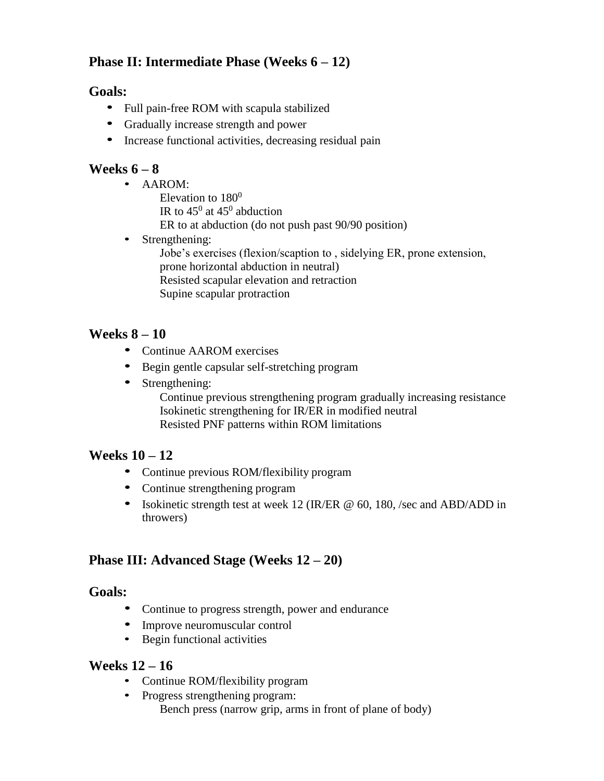## **Phase II: Intermediate Phase (Weeks 6 – 12)**

### **Goals:**

- Full pain-free ROM with scapula stabilized
- Gradually increase strength and power
- Increase functional activities, decreasing residual pain

### **Weeks 6 – 8**

- AAROM:
	- Elevation to  $180^0$
	- IR to  $45^{\circ}$  at  $45^{\circ}$  abduction
	- ER to at abduction (do not push past 90/90 position)
- Strengthening:
	- Jobe's exercises (flexion/scaption to , sidelying ER, prone extension, prone horizontal abduction in neutral) Resisted scapular elevation and retraction Supine scapular protraction

## **Weeks 8 – 10**

- Continue AAROM exercises
- Begin gentle capsular self-stretching program
- Strengthening:

Continue previous strengthening program gradually increasing resistance Isokinetic strengthening for IR/ER in modified neutral Resisted PNF patterns within ROM limitations

### **Weeks 10 – 12**

- Continue previous ROM/flexibility program
- Continue strengthening program
- Isokinetic strength test at week 12 (IR/ER @ 60, 180, /sec and ABD/ADD in throwers)

## **Phase III: Advanced Stage (Weeks 12 – 20)**

### **Goals:**

- Continue to progress strength, power and endurance
- Improve neuromuscular control
- Begin functional activities

### **Weeks 12 – 16**

- Continue ROM/flexibility program
- Progress strengthening program: Bench press (narrow grip, arms in front of plane of body)